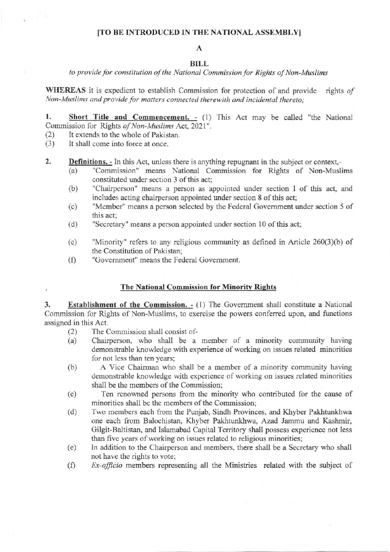### [TO BE INTRODUCED IN THE NATIONAL ASSEMBLY]

# A

## BILL

### to provide for constitution of the National Commission for Rights of Non-Muslims

**WHEREAS** it is expedient to establish Commission for protection of and provide rights of Non-Muslims and provide for matters connected therewith and incidental thereto:

1. Short Title and Commencement. - (1) This Act may be called "the National Commission for Rights of Non-Muslims Act, 2021".

- It extends to the whole of Pakistan.  $(2)$
- It shall come into force at once.  $(3)$
- $2.$ **Definitions.** - In this Act, unless there is anything repugnant in the subject or context,-
	- "Commission" means National Commission for Rights of Non-Muslims  $(a)$ constituted under section 3 of this act:
	- "Chairperson" means a person as appointed under section I of this act, and  $(b)$ includes acting chairperson appointed under section 8 of this act;
	- "Member" means a person selected by the Federal Government under section 5 of  $(c)$ this act:
	- "Secretary" means a person appointed under section 10 of this act;  $(d)$
	- "Minority" refers to any religious community as defined in Article 260(3)(b) of  $(e)$ the Constitution of Pakistan;
	- "Government" means the Federal Government.  $(f)$

## The National Commission for Minority Rights

Establishment of the Commission.  $- (1)$  The Government shall constitute a National 3. Commission for Rights of Non-Muslims, to exercise the powers conferred upon, and functions assigned in this Act.

- The Commission shall consist of- $(2)$
- $(a)$ Chairperson, who shall be a member of a minority community having demonstrable knowledge with experience of working on issues related minorities for not less than ten years;
- $(b)$ A Vice Chairman who shall be a member of a minority community having demonstrable knowledge with experience of working on issues related minorities shall be the members of the Commission:
- Ten renowned persons from the minority who contributed for the cause of  $(c)$ minorities shall be the members of the Commission;
- Two members each from the Punjab, Sindh Provinces, and Khyber Pakhtunkhwa  $(d)$ one each from Balochistan, Khyber Pakhtunkhwa, Azad Jammu and Kashmir, Gilgit-Baltistan, and Islamabad Capital Territory shall possess experience not less than five years of working on issues related to religious minorities;
- In addition to the Chairperson and members, there shall be a Secretary who shall  $(e)$ not have the rights to vote;
- $(f)$ Ex-officio members representing all the Ministries related with the subject of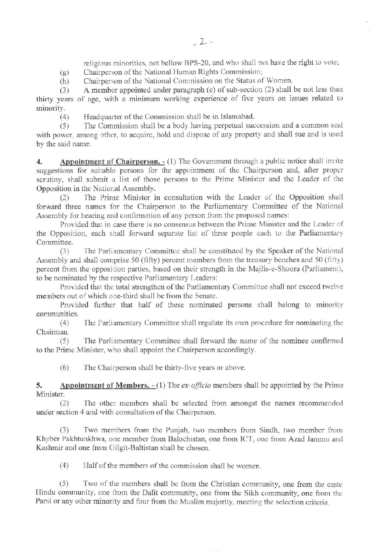religious minorities, not bellow BPS-20, and who shall not have the right to vote;

- (g) Chairperson of the National Human Rights Commission;
- (h) Chairperson of the National Commission on the Status of Women.<br>
(3) A member appointed under paragraph (c) of sub-section (2) shall  $\ell$

A member appointed under paragraph  $(c)$  of sub-section  $(2)$  shall be not less than thirty years of age, with a minimum working experience of five years on issues related to minority.

(4) Headquarter of the Commission shall be in Islamabad.

(5) The Commission shall be a body having perpetual succession and a common seal with power, among other, to acquire, hold and dispose of any property and shall sue and is used by the said name.

4. Appointment of Chairperson. - (1) The Government through a public notice shall invite suggestions for suitable persons for the appointment of the Chairperson and, after proper scrutiny, shall submit a list of those persons to the Prime Minister and the Leader of the Opposition in the National Assembly.

(2) The Prime Minister in consultation with the Leader of the Opposition shall forward three names for the Chairperson to the Parliamentary Committee of the National Assembly for hearing and confirmation of any person from the proposed names:

Provided that in case there is no consensus between the Prime Minister and the Leader of the Opposition, each shall forward separate list of three people each to the Parliamentary Committee.

(3) The Parliamentary Committee shall be constituted by the Speaker of the National Assembly and shall comprise 50 (fifty) percent members from the treasury benches and 50 (fifty) percent from the opposition parties, based on their strength in the Majlis-e-Shoora (Parliament), to be nominated by the respective Parliamentary Leaders:

Provided that the total strengthen of the Parliamentary Committee shall not exceed twelve members out of which one-third shall be from the Senate.

Provided further that half of these nominated persons shall belong to minority communities.

(4) The Parliamentary Committee shall regulate its own procedure for nominating the Chairman.

(5) The Parliamentary Committee shall forward the name of the nominee confirmed to the Prime Minister, who shall appoint the Chairperson accordingly.

 $(6)$  The Chairperson shall be thirty-five years or above.

5. Appointment of Members. - (1) The ex-officio members shall be appointed by the Prime Minister.

(2) The other members shall be selected from amongst the names recommended under section 4 and with consultation of the Chairperson.

(3) Two members from the Punjab, two members from Sindh, two member from Khyber Pakhtunkhwa, one member from Balochistan, one from ICT, one from Azad Jammu and Kashmir and one from Gilgit-Baltistan shall be chosen.

 $(4)$  Half of the members of the commission shall be women

(5) Two of the members shall be from the Christian community, one from the caste Hindu community, one from the Dalit community, one from the Sikh community, one from the Parsi or any other minority and four from the Muslim majority, meeting the selection criteria.